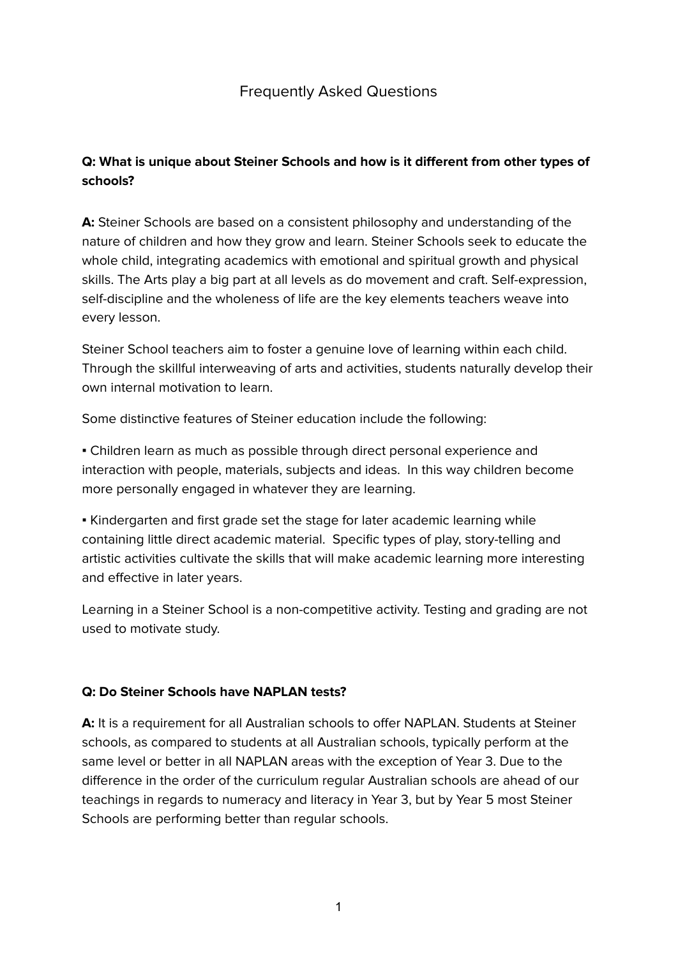# Frequently Asked Questions

# **Q: What is unique about Steiner Schools and how is it different from other types of schools?**

**A:** Steiner Schools are based on a consistent philosophy and understanding of the nature of children and how they grow and learn. Steiner Schools seek to educate the whole child, integrating academics with emotional and spiritual growth and physical skills. The Arts play a big part at all levels as do movement and craft. Self-expression, self-discipline and the wholeness of life are the key elements teachers weave into every lesson.

Steiner School teachers aim to foster a genuine love of learning within each child. Through the skillful interweaving of arts and activities, students naturally develop their own internal motivation to learn.

Some distinctive features of Steiner education include the following:

▪ Children learn as much as possible through direct personal experience and interaction with people, materials, subjects and ideas. In this way children become more personally engaged in whatever they are learning.

▪ Kindergarten and first grade set the stage for later academic learning while containing little direct academic material. Specific types of play, story-telling and artistic activities cultivate the skills that will make academic learning more interesting and effective in later years.

Learning in a Steiner School is a non-competitive activity. Testing and grading are not used to motivate study.

### **Q: Do Steiner Schools have NAPLAN tests?**

**A:** It is a requirement for all Australian schools to offer NAPLAN. Students at Steiner schools, as compared to students at all Australian schools, typically perform at the same level or better in all NAPLAN areas with the exception of Year 3. Due to the difference in the order of the curriculum regular Australian schools are ahead of our teachings in regards to numeracy and literacy in Year 3, but by Year 5 most Steiner Schools are performing better than regular schools.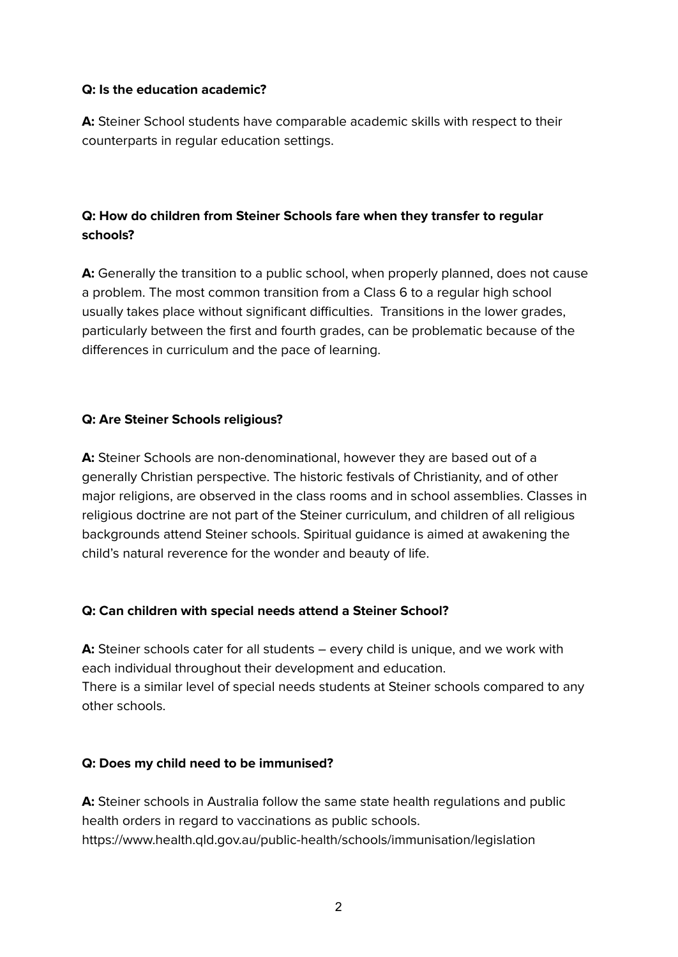### **Q: Is the education academic?**

**A:** Steiner School students have comparable academic skills with respect to their counterparts in regular education settings.

# **Q: How do children from Steiner Schools fare when they transfer to regular schools?**

**A:** Generally the transition to a public school, when properly planned, does not cause a problem. The most common transition from a Class 6 to a regular high school usually takes place without significant difficulties. Transitions in the lower grades, particularly between the first and fourth grades, can be problematic because of the differences in curriculum and the pace of learning.

### **Q: Are Steiner Schools religious?**

**A:** Steiner Schools are non-denominational, however they are based out of a generally Christian perspective. The historic festivals of Christianity, and of other major religions, are observed in the class rooms and in school assemblies. Classes in religious doctrine are not part of the Steiner curriculum, and children of all religious backgrounds attend Steiner schools. Spiritual guidance is aimed at awakening the child's natural reverence for the wonder and beauty of life.

### **Q: Can children with special needs attend a Steiner School?**

**A:** Steiner schools cater for all students – every child is unique, and we work with each individual throughout their development and education. There is a similar level of special needs students at Steiner schools compared to any other schools.

### **Q: Does my child need to be immunised?**

**A:** Steiner schools in Australia follow the same state health regulations and public health orders in regard to vaccinations as public schools. https://www.health.qld.gov.au/public-health/schools/immunisation/legislation